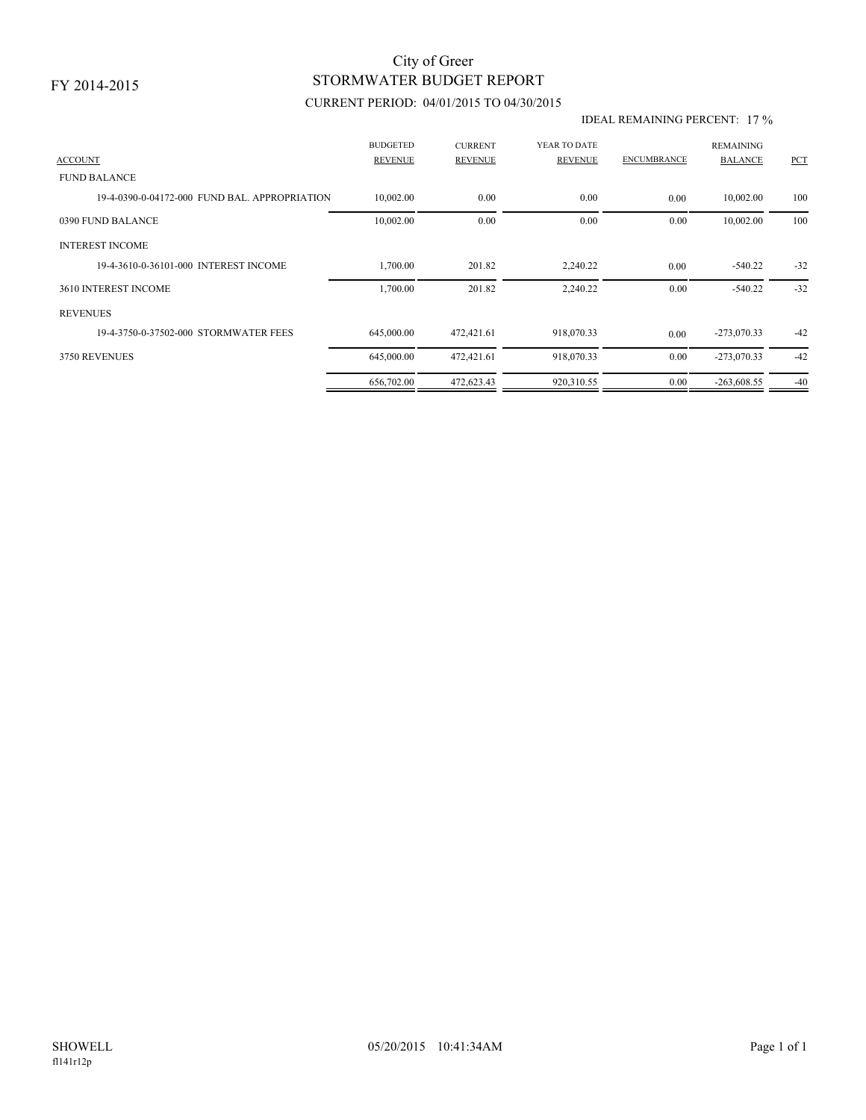## STORMWATER BUDGET REPORT City of Greer

### CURRENT PERIOD: 04/01/2015 TO 04/30/2015

#### IDEAL REMAINING PERCENT: 17 %

| <b>ACCOUNT</b>                                | <b>BUDGETED</b><br><b>REVENUE</b> | <b>CURRENT</b><br><b>REVENUE</b> | YEAR TO DATE<br><b>REVENUE</b> | <b>ENCUMBRANCE</b> | <b>REMAINING</b><br><b>BALANCE</b> | PCT   |
|-----------------------------------------------|-----------------------------------|----------------------------------|--------------------------------|--------------------|------------------------------------|-------|
| <b>FUND BALANCE</b>                           |                                   |                                  |                                |                    |                                    |       |
| 19-4-0390-0-04172-000 FUND BAL, APPROPRIATION | 10,002.00                         | 0.00                             | 0.00                           | 0.00               | 10,002.00                          | 100   |
| 0390 FUND BALANCE                             | 10,002.00                         | 0.00                             | 0.00                           | 0.00               | 10,002.00                          | 100   |
| <b>INTEREST INCOME</b>                        |                                   |                                  |                                |                    |                                    |       |
| 19-4-3610-0-36101-000 INTEREST INCOME         | 1,700.00                          | 201.82                           | 2,240.22                       | 0.00               | $-540.22$                          | $-32$ |
| 3610 INTEREST INCOME                          | 1,700.00                          | 201.82                           | 2,240.22                       | 0.00               | $-540.22$                          | $-32$ |
| <b>REVENUES</b>                               |                                   |                                  |                                |                    |                                    |       |
| 19-4-3750-0-37502-000 STORMWATER FEES         | 645,000.00                        | 472,421.61                       | 918,070.33                     | 0.00               | $-273,070.33$                      | $-42$ |
| 3750 REVENUES                                 | 645,000.00                        | 472,421.61                       | 918,070.33                     | 0.00               | $-273,070.33$                      | $-42$ |
|                                               | 656,702.00                        | 472,623.43                       | 920,310.55                     | 0.00               | $-263,608.55$                      | $-40$ |
|                                               |                                   |                                  |                                |                    |                                    |       |